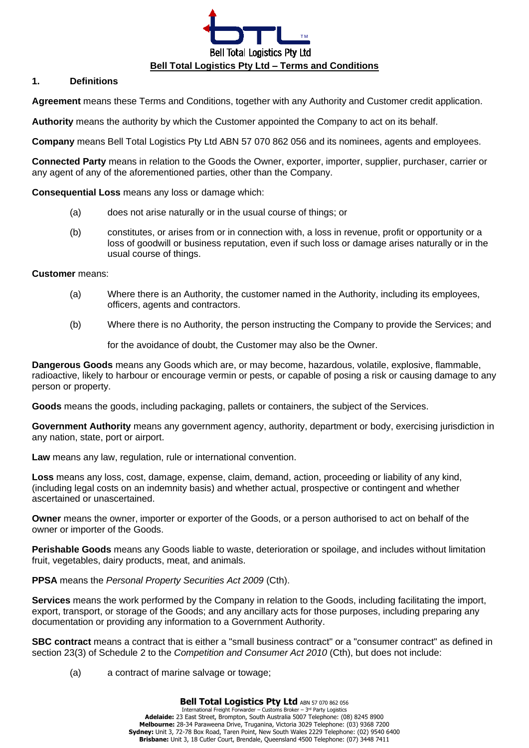

#### **1. Definitions**

**Agreement** means these Terms and Conditions, together with any Authority and Customer credit application.

**Authority** means the authority by which the Customer appointed the Company to act on its behalf.

<span id="page-0-0"></span>**Company** means Bell Total Logistics Pty Ltd ABN 57 070 862 056 and its nominees, agents and employees.

**Connected Party** means in relation to the Goods the Owner, exporter, importer, supplier, purchaser, carrier or any agent of any of the aforementioned parties, other than the Company.

**Consequential Loss** means any loss or damage which:

- (a) does not arise naturally or in the usual course of things; or
- (b) constitutes, or arises from or in connection with, a loss in revenue, profit or opportunity or a loss of goodwill or business reputation, even if such loss or damage arises naturally or in the usual course of things.

#### **Customer** means:

- (a) Where there is an Authority, the customer named in the Authority, including its employees, officers, agents and contractors.
- (b) Where there is no Authority, the person instructing the Company to provide the Services; and

for the avoidance of doubt, the Customer may also be the Owner.

**Dangerous Goods** means any Goods which are, or may become, hazardous, volatile, explosive, flammable, radioactive, likely to harbour or encourage vermin or pests, or capable of posing a risk or causing damage to any person or property.

**Goods** means the goods, including packaging, pallets or containers, the subject of the Services.

**Government Authority** means any government agency, authority, department or body, exercising jurisdiction in any nation, state, port or airport.

**Law** means any law, regulation, rule or international convention.

**Loss** means any loss, cost, damage, expense, claim, demand, action, proceeding or liability of any kind, (including legal costs on an indemnity basis) and whether actual, prospective or contingent and whether ascertained or unascertained.

**Owner** means the owner, importer or exporter of the Goods, or a person authorised to act on behalf of the owner or importer of the Goods.

**Perishable Goods** means any Goods liable to waste, deterioration or spoilage, and includes without limitation fruit, vegetables, dairy products, meat, and animals.

**PPSA** means the *Personal Property Securities Act 2009* (Cth).

**Services** means the work performed by the Company in relation to the Goods, including facilitating the import, export, transport, or storage of the Goods; and any ancillary acts for those purposes, including preparing any documentation or providing any information to a Government Authority.

**SBC contract** means a contract that is either a "small business contract" or a "consumer contract" as defined in section 23(3) of Schedule 2 to the *Competition and Consumer Act 2010* (Cth), but does not include:

(a) a contract of marine salvage or towage;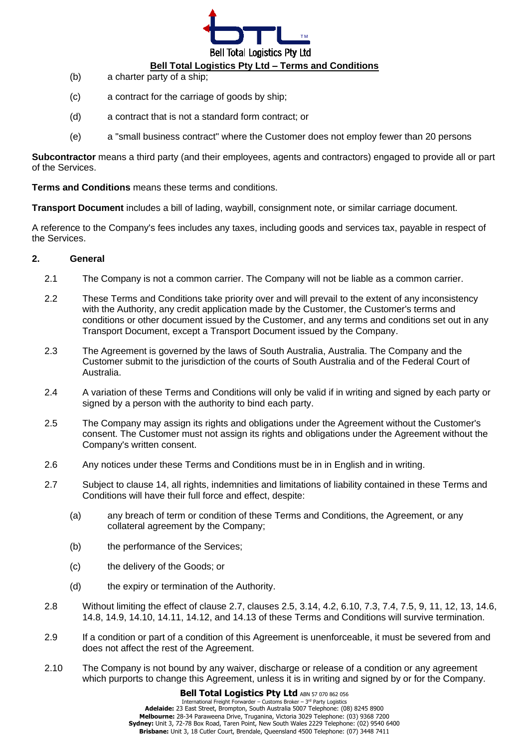

## **Bell Total Logistics Pty Ltd – Terms and Conditions**

- (b) a charter party of a ship;
- (c) a contract for the carriage of goods by ship;
- (d) a contract that is not a standard form contract; or
- (e) a "small business contract" where the Customer does not employ fewer than 20 persons

**Subcontractor** means a third party (and their employees, agents and contractors) engaged to provide all or part of the Services.

**Terms and Conditions** means these terms and conditions.

**Transport Document** includes a bill of lading, waybill, consignment note, or similar carriage document.

A reference to the Company's fees includes any taxes, including goods and services tax, payable in respect of the Services.

### **2. General**

- 2.1 The Company is not a common carrier. The Company will not be liable as a common carrier.
- 2.2 These Terms and Conditions take priority over and will prevail to the extent of any inconsistency with the Authority, any credit application made by the Customer, the Customer's terms and conditions or other document issued by the Customer, and any terms and conditions set out in any Transport Document, except a Transport Document issued by the Company.
- 2.3 The Agreement is governed by the laws of South Australia, Australia. The Company and the Customer submit to the jurisdiction of the courts of South Australia and of the Federal Court of Australia.
- 2.4 A variation of these Terms and Conditions will only be valid if in writing and signed by each party or signed by a person with the authority to bind each party.
- <span id="page-1-1"></span>2.5 The Company may assign its rights and obligations under the Agreement without the Customer's consent. The Customer must not assign its rights and obligations under the Agreement without the Company's written consent.
- 2.6 Any notices under these Terms and Conditions must be in in English and in writing.
- <span id="page-1-0"></span>2.7 Subject to clause [14,](#page-8-0) all rights, indemnities and limitations of liability contained in these Terms and Conditions will have their full force and effect, despite:
	- (a) any breach of term or condition of these Terms and Conditions, the Agreement, or any collateral agreement by the Company;
	- (b) the performance of the Services;
	- (c) the delivery of the Goods; or
	- (d) the expiry or termination of the Authority.
- 2.8 Without limiting the effect of clause [2.7,](#page-1-0) clauses [2.5,](#page-1-1) [3.14,](#page-3-0) [4.2,](#page-3-1) [6.10,](#page-4-0) [7.3,](#page-4-1) [7.4,](#page-5-0) [7.5,](#page-5-1) [9,](#page-5-2) [11,](#page-7-0) [12,](#page-7-1) [13,](#page-8-1) [14.6,](#page-9-0) [14.8,](#page-9-1) [14.9,](#page-9-2) [14.10,](#page-9-3) [14.11,](#page-9-4) [14.12,](#page-9-5) and [14.13](#page-10-0) of these Terms and Conditions will survive termination.
- 2.9 If a condition or part of a condition of this Agreement is unenforceable, it must be severed from and does not affect the rest of the Agreement.
- 2.10 The Company is not bound by any waiver, discharge or release of a condition or any agreement which purports to change this Agreement, unless it is in writing and signed by or for the Company.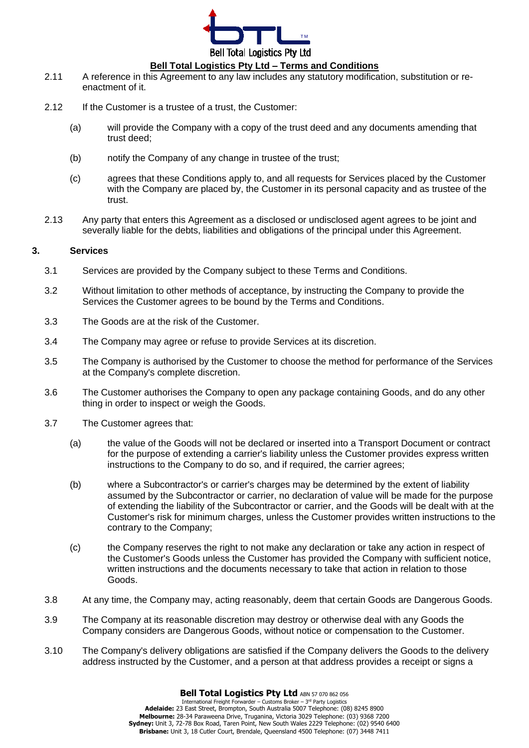

- 2.11 A reference in this Agreement to any law includes any statutory modification, substitution or reenactment of it.
- 2.12 If the Customer is a trustee of a trust, the Customer:
	- (a) will provide the Company with a copy of the trust deed and any documents amending that trust deed;
	- (b) notify the Company of any change in trustee of the trust;
	- (c) agrees that these Conditions apply to, and all requests for Services placed by the Customer with the Company are placed by, the Customer in its personal capacity and as trustee of the trust.
- 2.13 Any party that enters this Agreement as a disclosed or undisclosed agent agrees to be joint and severally liable for the debts, liabilities and obligations of the principal under this Agreement.

#### **3. Services**

- 3.1 Services are provided by the Company subject to these Terms and Conditions.
- 3.2 Without limitation to other methods of acceptance, by instructing the Company to provide the Services the Customer agrees to be bound by the Terms and Conditions.
- 3.3 The Goods are at the risk of the Customer.
- 3.4 The Company may agree or refuse to provide Services at its discretion.
- 3.5 The Company is authorised by the Customer to choose the method for performance of the Services at the Company's complete discretion.
- 3.6 The Customer authorises the Company to open any package containing Goods, and do any other thing in order to inspect or weigh the Goods.
- 3.7 The Customer agrees that:
	- (a) the value of the Goods will not be declared or inserted into a Transport Document or contract for the purpose of extending a carrier's liability unless the Customer provides express written instructions to the Company to do so, and if required, the carrier agrees;
	- (b) where a Subcontractor's or carrier's charges may be determined by the extent of liability assumed by the Subcontractor or carrier, no declaration of value will be made for the purpose of extending the liability of the Subcontractor or carrier, and the Goods will be dealt with at the Customer's risk for minimum charges, unless the Customer provides written instructions to the contrary to the Company;
	- (c) the Company reserves the right to not make any declaration or take any action in respect of the Customer's Goods unless the Customer has provided the Company with sufficient notice, written instructions and the documents necessary to take that action in relation to those Goods.
- 3.8 At any time, the Company may, acting reasonably, deem that certain Goods are Dangerous Goods.
- 3.9 The Company at its reasonable discretion may destroy or otherwise deal with any Goods the Company considers are Dangerous Goods, without notice or compensation to the Customer.
- 3.10 The Company's delivery obligations are satisfied if the Company delivers the Goods to the delivery address instructed by the Customer, and a person at that address provides a receipt or signs a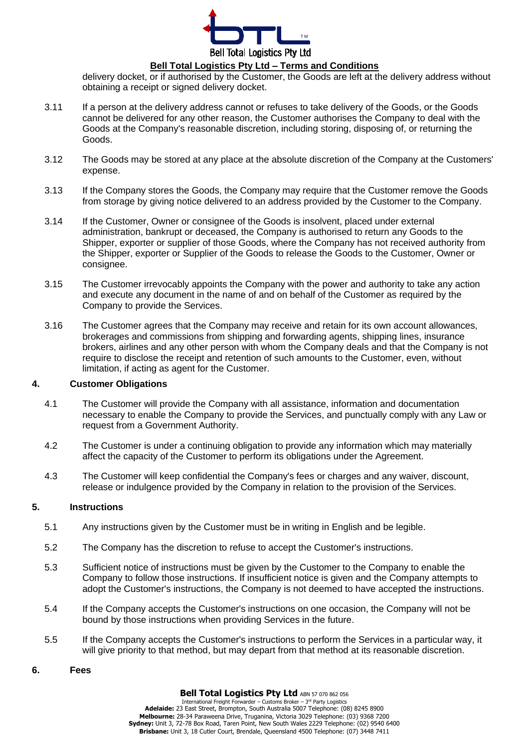

delivery docket, or if authorised by the Customer, the Goods are left at the delivery address without obtaining a receipt or signed delivery docket.

- 3.11 If a person at the delivery address cannot or refuses to take delivery of the Goods, or the Goods cannot be delivered for any other reason, the Customer authorises the Company to deal with the Goods at the Company's reasonable discretion, including storing, disposing of, or returning the Goods.
- <span id="page-3-2"></span>3.12 The Goods may be stored at any place at the absolute discretion of the Company at the Customers' expense.
- 3.13 If the Company stores the Goods, the Company may require that the Customer remove the Goods from storage by giving notice delivered to an address provided by the Customer to the Company.
- <span id="page-3-0"></span>3.14 If the Customer, Owner or consignee of the Goods is insolvent, placed under external administration, bankrupt or deceased, the Company is authorised to return any Goods to the Shipper, exporter or supplier of those Goods, where the Company has not received authority from the Shipper, exporter or Supplier of the Goods to release the Goods to the Customer, Owner or consignee.
- 3.15 The Customer irrevocably appoints the Company with the power and authority to take any action and execute any document in the name of and on behalf of the Customer as required by the Company to provide the Services.
- 3.16 The Customer agrees that the Company may receive and retain for its own account allowances, brokerages and commissions from shipping and forwarding agents, shipping lines, insurance brokers, airlines and any other person with whom the Company deals and that the Company is not require to disclose the receipt and retention of such amounts to the Customer, even, without limitation, if acting as agent for the Customer.

#### **4. Customer Obligations**

- 4.1 The Customer will provide the Company with all assistance, information and documentation necessary to enable the Company to provide the Services, and punctually comply with any Law or request from a Government Authority.
- <span id="page-3-1"></span>4.2 The Customer is under a continuing obligation to provide any information which may materially affect the capacity of the Customer to perform its obligations under the Agreement.
- 4.3 The Customer will keep confidential the Company's fees or charges and any waiver, discount, release or indulgence provided by the Company in relation to the provision of the Services.

#### **5. Instructions**

- 5.1 Any instructions given by the Customer must be in writing in English and be legible.
- 5.2 The Company has the discretion to refuse to accept the Customer's instructions.
- 5.3 Sufficient notice of instructions must be given by the Customer to the Company to enable the Company to follow those instructions. If insufficient notice is given and the Company attempts to adopt the Customer's instructions, the Company is not deemed to have accepted the instructions.
- 5.4 If the Company accepts the Customer's instructions on one occasion, the Company will not be bound by those instructions when providing Services in the future.
- 5.5 If the Company accepts the Customer's instructions to perform the Services in a particular way, it will give priority to that method, but may depart from that method at its reasonable discretion.
- **6. Fees**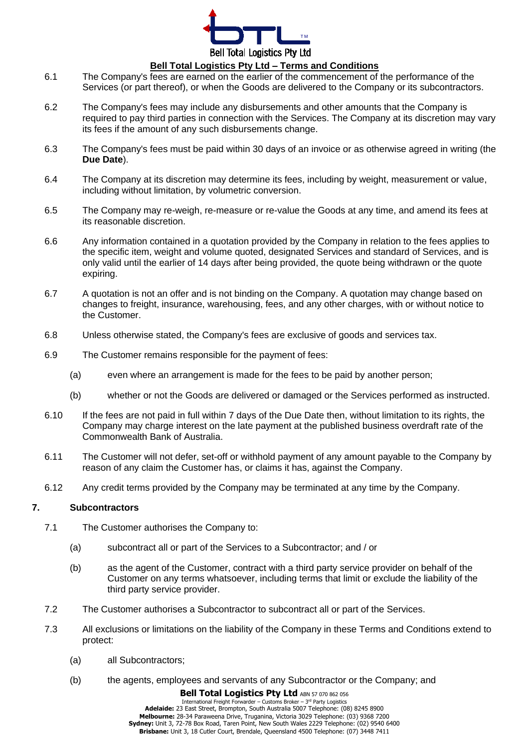

### **Bell Total Logistics Pty Ltd – Terms and Conditions**

- <span id="page-4-2"></span>6.1 The Company's fees are earned on the earlier of the commencement of the performance of the Services (or part thereof), or when the Goods are delivered to the Company or its subcontractors.
- 6.2 The Company's fees may include any disbursements and other amounts that the Company is required to pay third parties in connection with the Services. The Company at its discretion may vary its fees if the amount of any such disbursements change.
- 6.3 The Company's fees must be paid within 30 days of an invoice or as otherwise agreed in writing (the **Due Date**).
- <span id="page-4-3"></span>6.4 The Company at its discretion may determine its fees, including by weight, measurement or value, including without limitation, by volumetric conversion.
- <span id="page-4-4"></span>6.5 The Company may re-weigh, re-measure or re-value the Goods at any time, and amend its fees at its reasonable discretion.
- 6.6 Any information contained in a quotation provided by the Company in relation to the fees applies to the specific item, weight and volume quoted, designated Services and standard of Services, and is only valid until the earlier of 14 days after being provided, the quote being withdrawn or the quote expiring.
- 6.7 A quotation is not an offer and is not binding on the Company. A quotation may change based on changes to freight, insurance, warehousing, fees, and any other charges, with or without notice to the Customer.
- 6.8 Unless otherwise stated, the Company's fees are exclusive of goods and services tax.
- 6.9 The Customer remains responsible for the payment of fees:
	- (a) even where an arrangement is made for the fees to be paid by another person;
	- (b) whether or not the Goods are delivered or damaged or the Services performed as instructed.
- <span id="page-4-0"></span>6.10 If the fees are not paid in full within 7 days of the Due Date then, without limitation to its rights, the Company may charge interest on the late payment at the published business overdraft rate of the Commonwealth Bank of Australia.
- 6.11 The Customer will not defer, set-off or withhold payment of any amount payable to the Company by reason of any claim the Customer has, or claims it has, against the Company.
- 6.12 Any credit terms provided by the Company may be terminated at any time by the Company.

#### **7. Subcontractors**

- 7.1 The Customer authorises the Company to:
	- (a) subcontract all or part of the Services to a Subcontractor; and / or
	- (b) as the agent of the Customer, contract with a third party service provider on behalf of the Customer on any terms whatsoever, including terms that limit or exclude the liability of the third party service provider.
- 7.2 The Customer authorises a Subcontractor to subcontract all or part of the Services.
- <span id="page-4-1"></span>7.3 All exclusions or limitations on the liability of the Company in these Terms and Conditions extend to protect:
	- (a) all Subcontractors;
	- (b) the agents, employees and servants of any Subcontractor or the Company; and

**Bell Total Logistics Pty Ltd ABN 57 070 862 056** International Freight Forwarder – Customs Broker – 3 rd Party Logistics **Adelaide:** 23 East Street, Brompton, South Australia 5007 Telephone: (08) 8245 8900 **Melbourne:** 28-34 Paraweena Drive, Truganina, Victoria 3029 Telephone: (03) 9368 7200 **Sydney:** Unit 3, 72-78 Box Road, Taren Point, New South Wales 2229 Telephone: (02) 9540 6400 **Brisbane:** Unit 3, 18 Cutler Court, Brendale, Queensland 4500 Telephone: (07) 3448 7411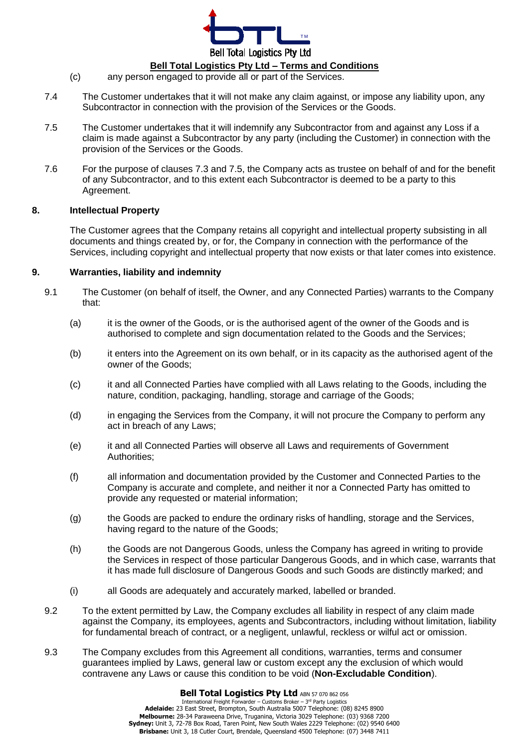

# **Bell Total Logistics Pty Ltd – Terms and Conditions**

- (c) any person engaged to provide all or part of the Services.
- <span id="page-5-0"></span>7.4 The Customer undertakes that it will not make any claim against, or impose any liability upon, any Subcontractor in connection with the provision of the Services or the Goods.
- <span id="page-5-1"></span>7.5 The Customer undertakes that it will indemnify any Subcontractor from and against any Loss if a claim is made against a Subcontractor by any party (including the Customer) in connection with the provision of the Services or the Goods.
- 7.6 For the purpose of clauses [7.3](#page-4-1) and [7.5,](#page-5-1) the Company acts as trustee on behalf of and for the benefit of any Subcontractor, and to this extent each Subcontractor is deemed to be a party to this Agreement.

#### **8. Intellectual Property**

The Customer agrees that the [Company](#page-0-0) retains all copyright and intellectual property subsisting in all documents and things created by, or for, the Company in connection with the performance of the Services, including copyright and intellectual property that now exists or that later comes into existence.

### <span id="page-5-2"></span>**9. Warranties, liability and indemnity**

- 9.1 The Customer (on behalf of itself, the Owner, and any Connected Parties) warrants to the Company that:
	- (a) it is the owner of the Goods, or is the authorised agent of the owner of the Goods and is authorised to complete and sign documentation related to the Goods and the Services;
	- (b) it enters into the Agreement on its own behalf, or in its capacity as the authorised agent of the owner of the Goods;
	- (c) it and all Connected Parties have complied with all Laws relating to the Goods, including the nature, condition, packaging, handling, storage and carriage of the Goods;
	- (d) in engaging the Services from the Company, it will not procure the Company to perform any act in breach of any Laws;
	- (e) it and all Connected Parties will observe all Laws and requirements of Government Authorities;
	- (f) all information and documentation provided by the Customer and Connected Parties to the Company is accurate and complete, and neither it nor a Connected Party has omitted to provide any requested or material information;
	- (g) the Goods are packed to endure the ordinary risks of handling, storage and the Services, having regard to the nature of the Goods;
	- (h) the Goods are not Dangerous Goods, unless the Company has agreed in writing to provide the Services in respect of those particular Dangerous Goods, and in which case, warrants that it has made full disclosure of Dangerous Goods and such Goods are distinctly marked; and
	- (i) all Goods are adequately and accurately marked, labelled or branded.
- 9.2 To the extent permitted by Law, the Company excludes all liability in respect of any claim made against the Company, its employees, agents and Subcontractors, including without limitation, liability for fundamental breach of contract, or a negligent, unlawful, reckless or wilful act or omission.
- 9.3 The Company excludes from this Agreement all conditions, warranties, terms and consumer guarantees implied by Laws, general law or custom except any the exclusion of which would contravene any Laws or cause this condition to be void (**Non-Excludable Condition**).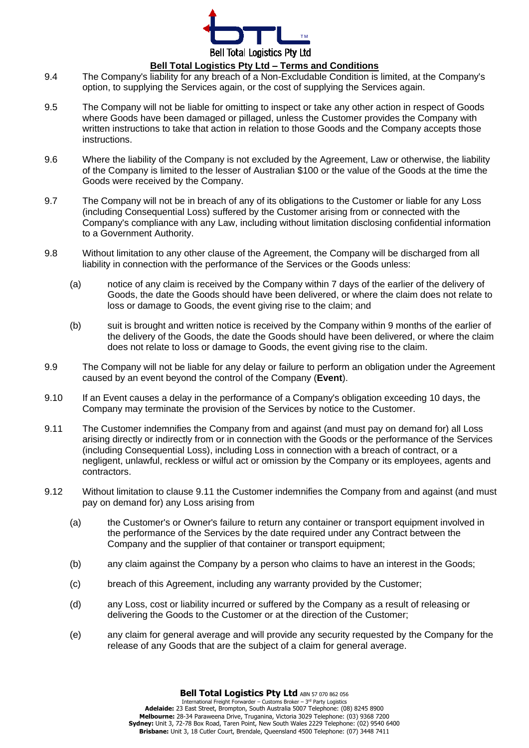

- 9.4 The Company's liability for any breach of a Non-Excludable Condition is limited, at the Company's option, to supplying the Services again, or the cost of supplying the Services again.
- 9.5 The Company will not be liable for omitting to inspect or take any other action in respect of Goods where Goods have been damaged or pillaged, unless the Customer provides the Company with written instructions to take that action in relation to those Goods and the Company accepts those instructions.
- <span id="page-6-2"></span>9.6 Where the liability of the Company is not excluded by the Agreement, Law or otherwise, the liability of the Company is limited to the lesser of Australian \$100 or the value of the Goods at the time the Goods were received by the Company.
- 9.7 The Company will not be in breach of any of its obligations to the Customer or liable for any Loss (including Consequential Loss) suffered by the Customer arising from or connected with the Company's compliance with any Law, including without limitation disclosing confidential information to a Government Authority.
- <span id="page-6-3"></span>9.8 Without limitation to any other clause of the Agreement, the Company will be discharged from all liability in connection with the performance of the Services or the Goods unless:
	- (a) notice of any claim is received by the Company within 7 days of the earlier of the delivery of Goods, the date the Goods should have been delivered, or where the claim does not relate to loss or damage to Goods, the event giving rise to the claim; and
	- (b) suit is brought and written notice is received by the Company within 9 months of the earlier of the delivery of the Goods, the date the Goods should have been delivered, or where the claim does not relate to loss or damage to Goods, the event giving rise to the claim.
- 9.9 The Company will not be liable for any delay or failure to perform an obligation under the Agreement caused by an event beyond the control of the Company (**Event**).
- 9.10 If an Event causes a delay in the performance of a Company's obligation exceeding 10 days, the Company may terminate the provision of the Services by notice to the Customer.
- <span id="page-6-0"></span>9.11 The Customer indemnifies the Company from and against (and must pay on demand for) all Loss arising directly or indirectly from or in connection with the Goods or the performance of the Services (including Consequential Loss), including Loss in connection with a breach of contract, or a negligent, unlawful, reckless or wilful act or omission by the Company or its employees, agents and contractors.
- <span id="page-6-1"></span>9.12 Without limitation to clause [9.11](#page-6-0) the Customer indemnifies the Company from and against (and must pay on demand for) any Loss arising from
	- (a) the Customer's or Owner's failure to return any container or transport equipment involved in the performance of the Services by the date required under any Contract between the Company and the supplier of that container or transport equipment;
	- (b) any claim against the Company by a person who claims to have an interest in the Goods;
	- (c) breach of this Agreement, including any warranty provided by the Customer;
	- (d) any Loss, cost or liability incurred or suffered by the Company as a result of releasing or delivering the Goods to the Customer or at the direction of the Customer;
	- (e) any claim for general average and will provide any security requested by the Company for the release of any Goods that are the subject of a claim for general average.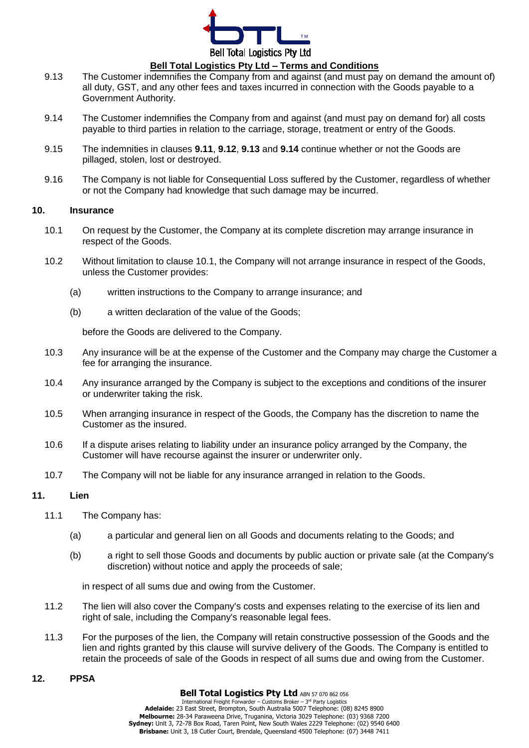

- 9.13 The Customer indemnifies the Company from and against (and must pay on demand the amount of) all duty, GST, and any other fees and taxes incurred in connection with the Goods payable to a Government Authority.
- 9.14 The Customer indemnifies the Company from and against (and must pay on demand for) all costs payable to third parties in relation to the carriage, storage, treatment or entry of the Goods.
- 9.15 The indemnities in clauses **[9.11](#page-6-0)**, **[9.12](#page-6-1)**, **9.13** and **9.14** continue whether or not the Goods are pillaged, stolen, lost or destroyed.
- 9.16 The Company is not liable for Consequential Loss suffered by the Customer, regardless of whether or not the Company had knowledge that such damage may be incurred.

#### **10. Insurance**

- <span id="page-7-2"></span>10.1 On request by the Customer, the Company at its complete discretion may arrange insurance in respect of the Goods.
- 10.2 Without limitation to clause [10.1,](#page-7-2) the Company will not arrange insurance in respect of the Goods, unless the Customer provides:
	- (a) written instructions to the Company to arrange insurance; and
	- (b) a written declaration of the value of the Goods;

before the Goods are delivered to the Company.

- 10.3 Any insurance will be at the expense of the Customer and the Company may charge the Customer a fee for arranging the insurance.
- 10.4 Any insurance arranged by the Company is subject to the exceptions and conditions of the insurer or underwriter taking the risk.
- 10.5 When arranging insurance in respect of the Goods, the Company has the discretion to name the Customer as the insured.
- 10.6 If a dispute arises relating to liability under an insurance policy arranged by the Company, the Customer will have recourse against the insurer or underwriter only.
- 10.7 The Company will not be liable for any insurance arranged in relation to the Goods.

#### <span id="page-7-0"></span>**11. Lien**

- <span id="page-7-3"></span>11.1 The Company has:
	- (a) a particular and general lien on all Goods and documents relating to the Goods; and
	- (b) a right to sell those Goods and documents by public auction or private sale (at the Company's discretion) without notice and apply the proceeds of sale;

in respect of all sums due and owing from the Customer.

- 11.2 The lien will also cover the Company's costs and expenses relating to the exercise of its lien and right of sale, including the Company's reasonable legal fees.
- 11.3 For the purposes of the lien, the Company will retain constructive possession of the Goods and the lien and rights granted by this clause will survive delivery of the Goods. The Company is entitled to retain the proceeds of sale of the Goods in respect of all sums due and owing from the Customer.

#### <span id="page-7-1"></span>**12. PPSA**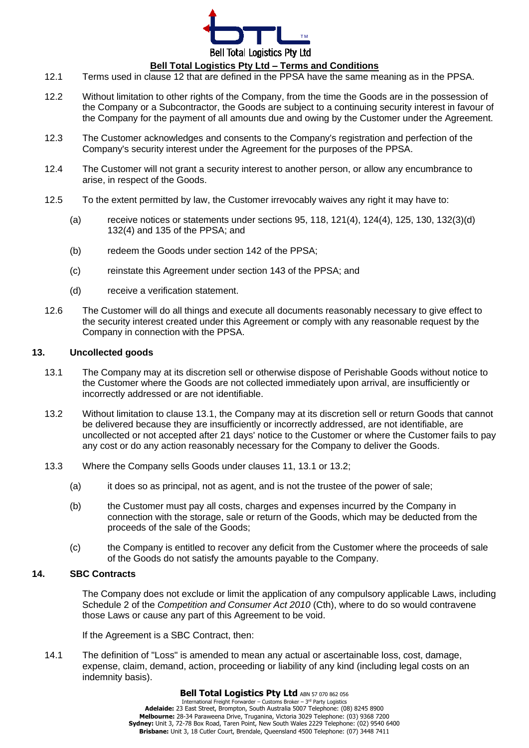

#### **Bell Total Logistics Pty Ltd – Terms and Conditions**

- 12.1 Terms used in clause 12 that are defined in the PPSA have the same meaning as in the PPSA.
- 12.2 Without limitation to other rights of the Company, from the time the Goods are in the possession of the Company or a Subcontractor, the Goods are subject to a continuing security interest in favour of the Company for the payment of all amounts due and owing by the Customer under the Agreement.
- 12.3 The Customer acknowledges and consents to the Company's registration and perfection of the Company's security interest under the Agreement for the purposes of the PPSA.
- 12.4 The Customer will not grant a security interest to another person, or allow any encumbrance to arise, in respect of the Goods.
- 12.5 To the extent permitted by law, the Customer irrevocably waives any right it may have to:
	- (a) receive notices or statements under sections 95, 118, 121(4), 124(4), 125, 130, 132(3)(d) 132(4) and 135 of the PPSA; and
	- (b) redeem the Goods under section 142 of the PPSA;
	- (c) reinstate this Agreement under section 143 of the PPSA; and
	- (d) receive a verification statement.
- 12.6 The Customer will do all things and execute all documents reasonably necessary to give effect to the security interest created under this Agreement or comply with any reasonable request by the Company in connection with the PPSA.

#### <span id="page-8-1"></span>**13. Uncollected goods**

- <span id="page-8-2"></span>13.1 The Company may at its discretion sell or otherwise dispose of Perishable Goods without notice to the Customer where the Goods are not collected immediately upon arrival, are insufficiently or incorrectly addressed or are not identifiable.
- <span id="page-8-3"></span>13.2 Without limitation to clause [13.1,](#page-8-2) the Company may at its discretion sell or return Goods that cannot be delivered because they are insufficiently or incorrectly addressed, are not identifiable, are uncollected or not accepted after 21 days' notice to the Customer or where the Customer fails to pay any cost or do any action reasonably necessary for the Company to deliver the Goods.
- 13.3 Where the Company sells Goods under clauses [11,](#page-7-0) [13.1](#page-8-2) or [13.2;](#page-8-3)
	- (a) it does so as principal, not as agent, and is not the trustee of the power of sale;
	- (b) the Customer must pay all costs, charges and expenses incurred by the Company in connection with the storage, sale or return of the Goods, which may be deducted from the proceeds of the sale of the Goods;
	- (c) the Company is entitled to recover any deficit from the Customer where the proceeds of sale of the Goods do not satisfy the amounts payable to the Company.

#### <span id="page-8-0"></span>**14. SBC Contracts**

The Company does not exclude or limit the application of any compulsory applicable Laws, including Schedule 2 of the *Competition and Consumer Act 2010* (Cth), where to do so would contravene those Laws or cause any part of this Agreement to be void.

If the Agreement is a SBC Contract, then:

14.1 The definition of "Loss" is amended to mean any actual or ascertainable loss, cost, damage, expense, claim, demand, action, proceeding or liability of any kind (including legal costs on an indemnity basis).

**Bell Total Logistics Pty Ltd** ABN 57 070 862 056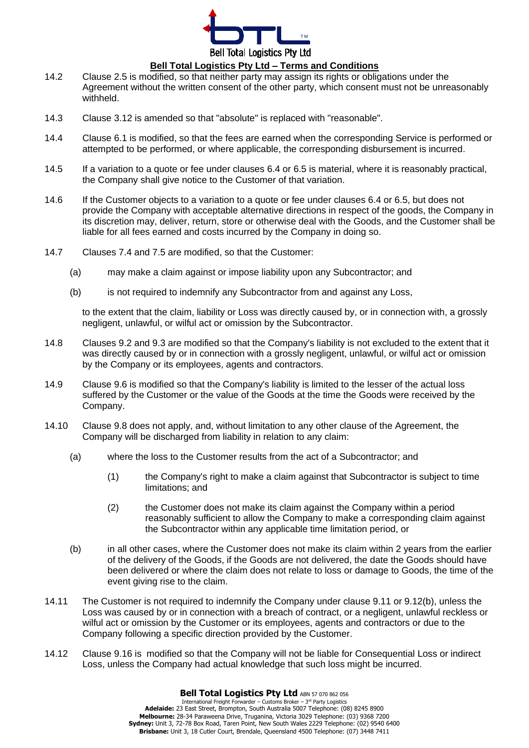

- 14.2 Clause [2.5](#page-1-1) is modified, so that neither party may assign its rights or obligations under the Agreement without the written consent of the other party, which consent must not be unreasonably withheld.
- 14.3 Clause [3.12](#page-3-2) is amended so that "absolute" is replaced with "reasonable".
- 14.4 Clause [6.1](#page-4-2) is modified, so that the fees are earned when the corresponding Service is performed or attempted to be performed, or where applicable, the corresponding disbursement is incurred.
- 14.5 If a variation to a quote or fee under clauses [6.4](#page-4-3) or [6.5](#page-4-4) is material, where it is reasonably practical, the Company shall give notice to the Customer of that variation.
- <span id="page-9-0"></span>14.6 If the Customer objects to a variation to a quote or fee under clauses [6.4](#page-4-3) or [6.5,](#page-4-4) but does not provide the Company with acceptable alternative directions in respect of the goods, the Company in its discretion may, deliver, return, store or otherwise deal with the Goods, and the Customer shall be liable for all fees earned and costs incurred by the Company in doing so.
- 14.7 Clauses [7.4](#page-5-0) and [7.5](#page-5-1) are modified, so that the Customer:
	- (a) may make a claim against or impose liability upon any Subcontractor; and
	- (b) is not required to indemnify any Subcontractor from and against any Loss,

to the extent that the claim, liability or Loss was directly caused by, or in connection with, a grossly negligent, unlawful, or wilful act or omission by the Subcontractor.

- <span id="page-9-1"></span>14.8 Clauses 9.2 and 9.3 are modified so that the Company's liability is not excluded to the extent that it was directly caused by or in connection with a grossly negligent, unlawful, or wilful act or omission by the Company or its employees, agents and contractors.
- <span id="page-9-2"></span>14.9 Clause [9.6](#page-6-2) is modified so that the Company's liability is limited to the lesser of the actual loss suffered by the Customer or the value of the Goods at the time the Goods were received by the Company.
- <span id="page-9-3"></span>14.10 Clause [9.8](#page-6-3) does not apply, and, without limitation to any other clause of the Agreement, the Company will be discharged from liability in relation to any claim:
	- (a) where the loss to the Customer results from the act of a Subcontractor; and
		- (1) the Company's right to make a claim against that Subcontractor is subject to time limitations; and
		- (2) the Customer does not make its claim against the Company within a period reasonably sufficient to allow the Company to make a corresponding claim against the Subcontractor within any applicable time limitation period, or
	- (b) in all other cases, where the Customer does not make its claim within 2 years from the earlier of the delivery of the Goods, if the Goods are not delivered, the date the Goods should have been delivered or where the claim does not relate to loss or damage to Goods, the time of the event giving rise to the claim.
- <span id="page-9-4"></span>14.11 The Customer is not required to indemnify the Company under clause [9.11](#page-6-0) or 9.12(b), unless the Loss was caused by or in connection with a breach of contract, or a negligent, unlawful reckless or wilful act or omission by the Customer or its employees, agents and contractors or due to the Company following a specific direction provided by the Customer.
- <span id="page-9-5"></span>14.12 Clause 9.16 is modified so that the Company will not be liable for Consequential Loss or indirect Loss, unless the Company had actual knowledge that such loss might be incurred.